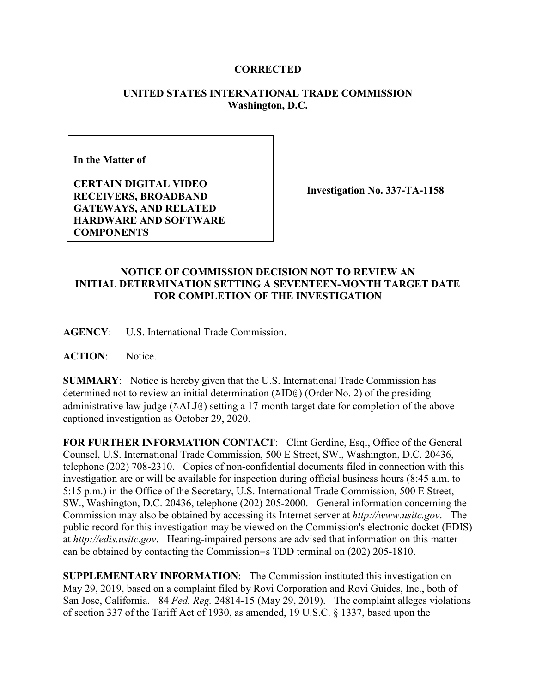## **CORRECTED**

## **UNITED STATES INTERNATIONAL TRADE COMMISSION Washington, D.C.**

**In the Matter of** 

**CERTAIN DIGITAL VIDEO RECEIVERS, BROADBAND GATEWAYS, AND RELATED HARDWARE AND SOFTWARE COMPONENTS**

**Investigation No. 337-TA-1158**

## **NOTICE OF COMMISSION DECISION NOT TO REVIEW AN INITIAL DETERMINATION SETTING A SEVENTEEN-MONTH TARGET DATE FOR COMPLETION OF THE INVESTIGATION**

**AGENCY**: U.S. International Trade Commission.

**ACTION**: Notice.

**SUMMARY**: Notice is hereby given that the U.S. International Trade Commission has determined not to review an initial determination (AID@) (Order No. 2) of the presiding administrative law judge (AALJ@) setting a 17-month target date for completion of the abovecaptioned investigation as October 29, 2020.

FOR FURTHER INFORMATION CONTACT: Clint Gerdine, Esq., Office of the General Counsel, U.S. International Trade Commission, 500 E Street, SW., Washington, D.C. 20436, telephone (202) 708-2310. Copies of non-confidential documents filed in connection with this investigation are or will be available for inspection during official business hours (8:45 a.m. to 5:15 p.m.) in the Office of the Secretary, U.S. International Trade Commission, 500 E Street, SW., Washington, D.C. 20436, telephone (202) 205-2000. General information concerning the Commission may also be obtained by accessing its Internet server at *http://www.usitc.gov*. The public record for this investigation may be viewed on the Commission's electronic docket (EDIS) at *http://edis.usitc.gov*. Hearing-impaired persons are advised that information on this matter can be obtained by contacting the Commission=s TDD terminal on (202) 205-1810.

**SUPPLEMENTARY INFORMATION**: The Commission instituted this investigation on May 29, 2019, based on a complaint filed by Rovi Corporation and Rovi Guides, Inc., both of San Jose, California. 84 *Fed. Reg.* 24814-15 (May 29, 2019). The complaint alleges violations of section 337 of the Tariff Act of 1930, as amended, 19 U.S.C. § 1337, based upon the